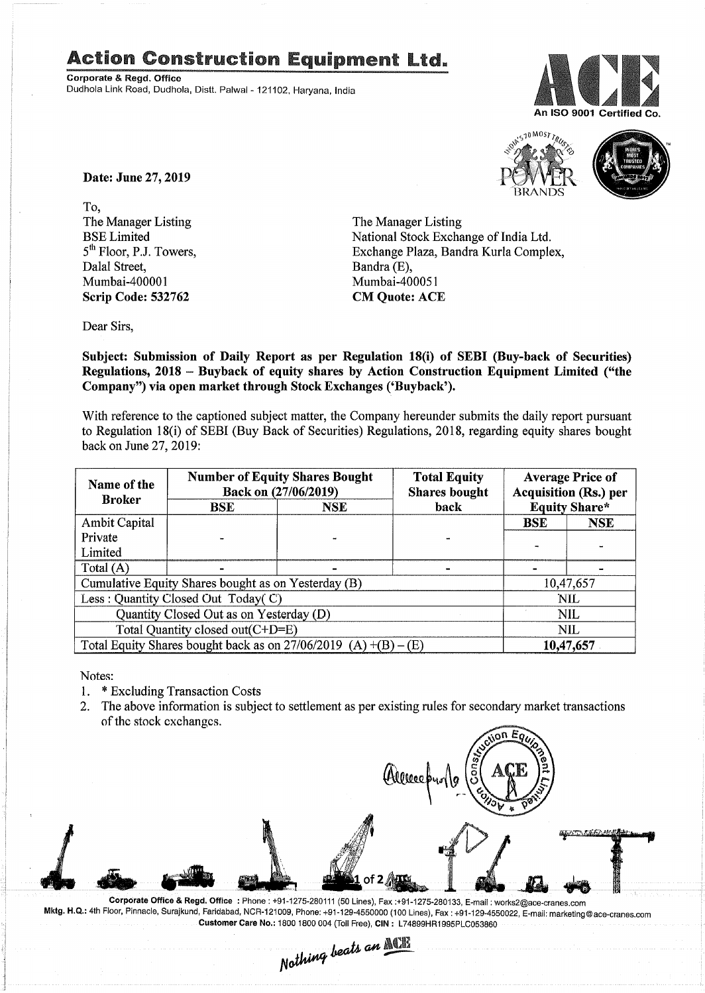## Action Construction Equipment Ltd..

Corporate & Regd. Office Dudhola Link Road, Dudhola, Distt. Palwal - 121102, Haryana. India





Date: June 27, 2019

To, The Manager Listing BSE Limited 5<sup>th</sup> Floor, P.J. Towers, Dalal Street, Mumbai-400001 Scrip Code: 532762

The Manager Listing National Stock Exchange of India Ltd. Exchange Plaza, Bandra Kurla Complex, Bandra (E), Mumbai-400051 CM Quote: ACE

Dear Sirs,

Subject: Submission of Daily Report as per Regulation 18(i) of SEBI (Buy-back of Securities) Regulations, 2018 - Buyback of equity shares by Action Construction Equipment Limited ("the Company") via open market through Stock Exchanges ('Buyback').

With reference to the captioned subject matter, the Company hereunder submits the daily report pursuant to Regulation 18(i) of SEBI (Buy Back of Securities) Regulations, 2018, regarding equity shares bought back on June 27,2019:

| Name of the<br><b>Broker</b>                                      | <b>Number of Equity Shares Bought</b><br>Back on (27/06/2019) |            | <b>Total Equity</b><br><b>Shares bought</b> | <b>Average Price of</b><br><b>Acquisition (Rs.) per</b> |            |  |
|-------------------------------------------------------------------|---------------------------------------------------------------|------------|---------------------------------------------|---------------------------------------------------------|------------|--|
|                                                                   | <b>BSE</b>                                                    | <b>NSE</b> | <b>Equity Share*</b><br>back                |                                                         |            |  |
| <b>Ambit Capital</b>                                              |                                                               |            |                                             | <b>BSE</b>                                              | <b>NSE</b> |  |
| Private                                                           |                                                               |            |                                             |                                                         |            |  |
| Limited                                                           |                                                               |            |                                             |                                                         |            |  |
| Total $(A)$                                                       |                                                               |            |                                             |                                                         |            |  |
| Cumulative Equity Shares bought as on Yesterday (B)               |                                                               |            |                                             |                                                         | 10,47,657  |  |
| Less: Quantity Closed Out Today(C)                                |                                                               |            |                                             | <b>NIL</b>                                              |            |  |
| Quantity Closed Out as on Yesterday (D)                           |                                                               |            |                                             | <b>NIL</b>                                              |            |  |
| Total Quantity closed out(C+D=E)                                  |                                                               |            |                                             | <b>NIL</b>                                              |            |  |
| Total Equity Shares bought back as on $27/06/2019$ (A) +(B) – (E) |                                                               |            |                                             | 10,47,657                                               |            |  |

Notes:

- 1. \* Excluding Transaction Costs<br>2. The above information is subie
- 2. The above information is subject to settlement as per existing rules for secondary market transactions of the stock exchanges.



Corporate Office & Regd. Office: Phone: +91-1275-280111(50 Lines), Fax:+91-1275-280133, E-mail: works2@ace-cranes.com Mktg. H.Q.: 4th Floor, Pinnacle, Surajkund, Faridabad, NCR-121009, Phone: +91-129-4550000 (100 Lines), Fax: +91-129-4550022, E-mail: marketing@ace-cranes.com